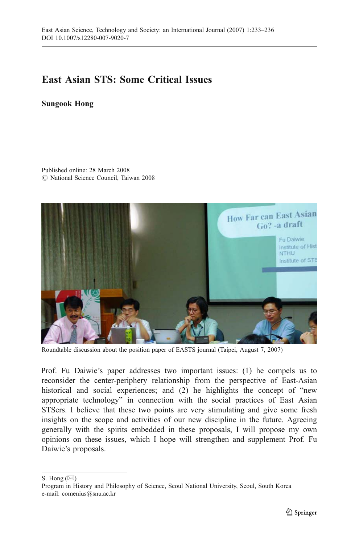## **East Asian STS: Some Critical Issues** East Asian STS: Some Critical Issues

## **Sungook Hong** Sungook Hong

Published online: 28 March 2008  $\circ$  National Science Council, Taiwan 2008



Roundtable discussion about the position paper of EASTS journal (Taipei, August 7, 2007)

Prof. Fu Daiwie's paper addresses two important issues: (1) he compels us to reconsider the center-periphery relationship from the perspective of East-Asian historical and social experiences; and (2) he highlights the concept of "new appropriate technology" in connection with the social practices of East Asian STSers. I believe that these two points are very stimulating and give some fresh insights on the scope and activities of our new discipline in the future. Agreeing generally with the spirits embedded in these proposals, I will propose my own opinions on these issues, which I hope will strengthen and supplement Prof. Fu Daiwie's proposals.

S. Hong  $(\boxtimes)$ 

Program in History and Philosophy of Science, Seoul National University, Seoul, South Korea e-mail: comenius@snu.ac.kr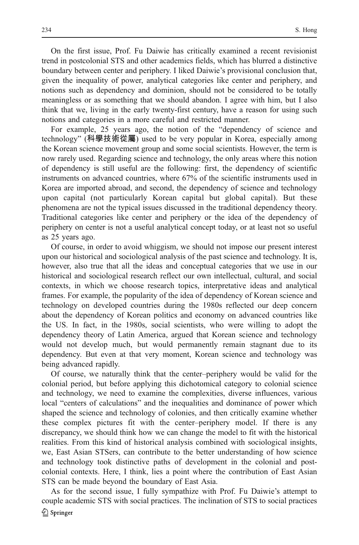On the first issue, Prof. Fu Daiwie has critically examined a recent revisionist trend in postcolonial STS and other academics fields, which has blurred a distinctive boundary between center and periphery. I liked Daiwie's provisional conclusion that, given the inequality of power, analytical categories like center and periphery, and notions such as dependency and dominion, should not be considered to be totally meaningless or as something that we should abandon. I agree with him, but I also think that we, living in the early twenty-first century, have a reason for using such notions and categories in a more careful and restricted manner.

For example, 25 years ago, the notion of the "dependency of science and technology" (科學技術從屬) used to be very popular in Korea, especially among the Korean science movement group and some social scientists. However, the term is now rarely used. Regarding science and technology, the only areas where this notion of dependency is still useful are the following: first, the dependency of scientific instruments on advanced countries, where 67% of the scientific instruments used in Korea are imported abroad, and second, the dependency of science and technology upon capital (not particularly Korean capital but global capital). But these phenomena are not the typical issues discussed in the traditional dependency theory. Traditional categories like center and periphery or the idea of the dependency of periphery on center is not a useful analytical concept today, or at least not so useful as 25 years ago.

Of course, in order to avoid whiggism, we should not impose our present interest upon our historical and sociological analysis of the past science and technology. It is, however, also true that all the ideas and conceptual categories that we use in our historical and sociological research reflect our own intellectual, cultural, and social contexts, in which we choose research topics, interpretative ideas and analytical frames. For example, the popularity of the idea of dependency of Korean science and technology on developed countries during the 1980s reflected our deep concern about the dependency of Korean politics and economy on advanced countries like the US. In fact, in the 1980s, social scientists, who were willing to adopt the dependency theory of Latin America, argued that Korean science and technology would not develop much, but would permanently remain stagnant due to its dependency. But even at that very moment, Korean science and technology was being advanced rapidly.

Of course, we naturally think that the center–periphery would be valid for the colonial period, but before applying this dichotomical category to colonial science and technology, we need to examine the complexities, diverse influences, various local "centers of calculations" and the inequalities and dominance of power which shaped the science and technology of colonies, and then critically examine whether these complex pictures fit with the center–periphery model. If there is any discrepancy, we should think how we can change the model to fit with the historical realities. From this kind of historical analysis combined with sociological insights, we, East Asian STSers, can contribute to the better understanding of how science and technology took distinctive paths of development in the colonial and postcolonial contexts. Here, I think, lies a point where the contribution of East Asian STS can be made beyond the boundary of East Asia.

As for the second issue, I fully sympathize with Prof. Fu Daiwie's attempt to couple academic STS with social practices. The inclination of STS to social practices  $\textcircled{2}$  Springer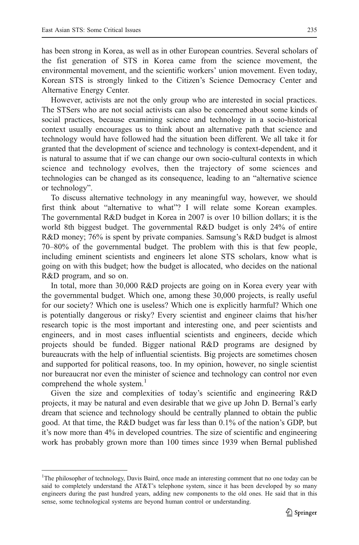has been strong in Korea, as well as in other European countries. Several scholars of the fist generation of STS in Korea came from the science movement, the environmental movement, and the scientific workers' union movement. Even today, Korean STS is strongly linked to the Citizen's Science Democracy Center and Alternative Energy Center.

However, activists are not the only group who are interested in social practices. The STSers who are not social activists can also be concerned about some kinds of social practices, because examining science and technology in a socio-historical context usually encourages us to think about an alternative path that science and technology would have followed had the situation been different. We all take it for granted that the development of science and technology is context-dependent, and it is natural to assume that if we can change our own socio-cultural contexts in which science and technology evolves, then the trajectory of some sciences and technologies can be changed as its consequence, leading to an "alternative science or technology".

To discuss alternative technology in any meaningful way, however, we should first think about "alternative to what"? I will relate some Korean examples. The governmental R&D budget in Korea in 2007 is over 10 billion dollars; it is the world 8th biggest budget. The governmental R&D budget is only 24% of entire R&D money; 76% is spent by private companies. Samsung's R&D budget is almost 70–80% of the governmental budget. The problem with this is that few people, including eminent scientists and engineers let alone STS scholars, know what is going on with this budget; how the budget is allocated, who decides on the national R&D program, and so on.

In total, more than 30,000 R&D projects are going on in Korea every year with the governmental budget. Which one, among these 30,000 projects, is really useful for our society? Which one is useless? Which one is explicitly harmful? Which one is potentially dangerous or risky? Every scientist and engineer claims that his/her research topic is the most important and interesting one, and peer scientists and engineers, and in most cases influential scientists and engineers, decide which projects should be funded. Bigger national R&D programs are designed by bureaucrats with the help of influential scientists. Big projects are sometimes chosen and supported for political reasons, too. In my opinion, however, no single scientist nor bureaucrat nor even the minister of science and technology can control nor even comprehend the whole system.<sup>1</sup>

Given the size and complexities of today's scientific and engineering R&D projects, it may be natural and even desirable that we give up John D. Bernal's early dream that science and technology should be centrally planned to obtain the public good. At that time, the R&D budget was far less than 0.1% of the nation's GDP, but it's now more than 4% in developed countries. The size of scientific and engineering work has probably grown more than 100 times since 1939 when Bernal published

<sup>&</sup>lt;sup>1</sup>The philosopher of technology, Davis Baird, once made an interesting comment that no one today can be said to completely understand the AT&T's telephone system, since it has been developed by so many engineers during the past hundred years, adding new components to the old ones. He said that in this sense, some technological systems are beyond human control or understanding.